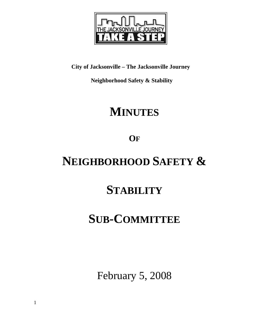

**City of Jacksonville – The Jacksonville Journey** 

 **Neighborhood Safety & Stability** 

# **MINUTES**

**OF**

# **NEIGHBORHOOD SAFETY &**

## **STABILITY**

## **SUB-COMMITTEE**

February 5, 2008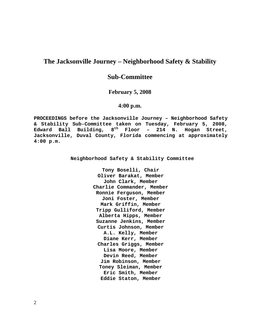## **The Jacksonville Journey – Neighborhood Safety & Stability**

## **Sub-Committee**

### **February 5, 2008**

## **4:00 p.m.**

**PROCEEDINGS before the Jacksonville Journey – Neighborhood Safety & Stability Sub-Committee taken on Tuesday, February 5, 2008, Edward Ball Building, 8th Floor – 214 N. Hogan Street, Jacksonville, Duval County, Florida commencing at approximately 4:00 p.m.** 

**Neighborhood Safety & Stability Committee** 

**Tony Boselli, Chair Oliver Barakat, Member John Clark, Member Charlie Commander, Member Ronnie Ferguson, Member Joni Foster, Member Mark Griffin, Member Tripp Gulliford, Member Alberta Hipps, Member Suzanne Jenkins, Member Curtis Johnson, Member A.L. Kelly, Member Diane Kerr, Member Charles Griggs, Member Lisa Moore, Member Devin Reed, Member Jim Robinson, Member Toney Sleiman, Member Eric Smith, Member Eddie Staton, Member**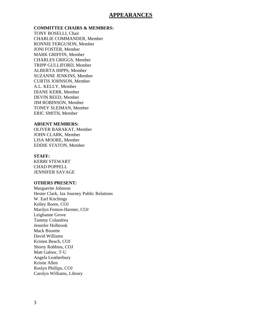## **APPEARANCES**

### **COMMITTEE CHAIRS & MEMBERS:**

TONY BOSELLI, Chair CHARLIE COMMANDER, Member RONNIE FERGUSON, Member JONI FOSTER, Member MARK GRIFFIN, Member CHARLES GRIGGS, Member TRIPP GULLIFORD, Member ALBERTA HIPPS, Member SUZANNE JENKINS, Member CURTIS JOHNSON, Member A.L. KELLY, Member DIANE KERR, Member DEVIN REED, Member JIM ROBINSON, Member TONEY SLEIMAN, Member ERIC SMITH, Member

#### **ABSENT MEMBERS:**

OLIVER BARAKAT, Member JOHN CLARK, Member LISA MOORE, Member EDDIE STATON, Member

#### **STAFF:**

KERRI STEWART CHAD POPPELL JENNIFER SAVAGE

### **OTHERS PRESENT:**

Marguerite Johnson Hester Clark, Jax Journey Public Relations W. Earl Kitchings Kelley Boree, COJ Marilyn Fenton-Harmer, COJ Leighanne Grove Tammy Colandrea Jennifer Holbrook Mack Bissette David Williams Kristen Beach, COJ Shorty Robbins, COJ Matt Galnor, T-U Angela Leatherbury Kristie Allen Roslyn Phillips, COJ Carolyn Williams, Library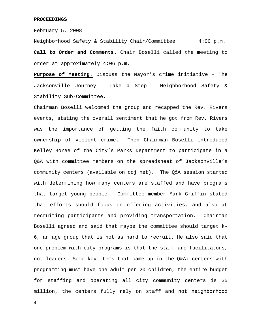#### **PROCEEDINGS**

February 5, 2008

Neighborhood Safety & Stability Chair/Committee 4:00 p.m. **Call to Order and Comments.** Chair Boselli called the meeting to order at approximately 4:06 p.m.

**Purpose of Meeting.** Discuss the Mayor's crime initiative – The Jacksonville Journey – Take a Step – Neighborhood Safety & Stability Sub-Committee.

Chairman Boselli welcomed the group and recapped the Rev. Rivers events, stating the overall sentiment that he got from Rev. Rivers was the importance of getting the faith community to take ownership of violent crime. Then Chairman Boselli introduced Kelley Boree of the City's Parks Department to participate in a Q&A with committee members on the spreadsheet of Jacksonville's community centers (available on coj.net). The Q&A session started with determining how many centers are staffed and have programs that target young people. Committee member Mark Griffin stated that efforts should focus on offering activities, and also at recruiting participants and providing transportation. Chairman Boselli agreed and said that maybe the committee should target k-6, an age group that is not as hard to recruit. He also said that one problem with city programs is that the staff are facilitators, not leaders. Some key items that came up in the Q&A: centers with programming must have one adult per 20 children, the entire budget for staffing and operating all city community centers is \$5 million, the centers fully rely on staff and not neighborhood

4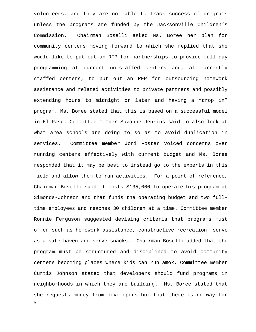5 volunteers, and they are not able to track success of programs unless the programs are funded by the Jacksonville Children's Commission. Chairman Boselli asked Ms. Boree her plan for community centers moving forward to which she replied that she would like to put out an RFP for partnerships to provide full day programming at current un-staffed centers and, at currently staffed centers, to put out an RFP for outsourcing homework assistance and related activities to private partners and possibly extending hours to midnight or later and having a "drop in" program. Ms. Boree stated that this is based on a successful model in El Paso. Committee member Suzanne Jenkins said to also look at what area schools are doing to so as to avoid duplication in services. Committee member Joni Foster voiced concerns over running centers effectively with current budget and Ms. Boree responded that it may be best to instead go to the experts in this field and allow them to run activities. For a point of reference, Chairman Boselli said it costs \$135,000 to operate his program at Simonds-Johnson and that funds the operating budget and two fulltime employees and reaches 30 children at a time. Committee member Ronnie Ferguson suggested devising criteria that programs must offer such as homework assistance, constructive recreation, serve as a safe haven and serve snacks. Chairman Boselli added that the program must be structured and disciplined to avoid community centers becoming places where kids can run amok. Committee member Curtis Johnson stated that developers should fund programs in neighborhoods in which they are building. Ms. Boree stated that she requests money from developers but that there is no way for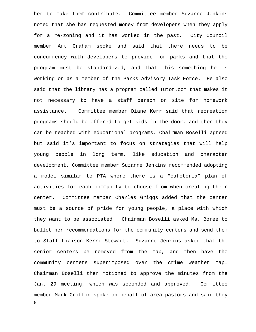6 her to make them contribute. Committee member Suzanne Jenkins noted that she has requested money from developers when they apply for a re-zoning and it has worked in the past. City Council member Art Graham spoke and said that there needs to be concurrency with developers to provide for parks and that the program must be standardized, and that this something he is working on as a member of the Parks Advisory Task Force. He also said that the library has a program called Tutor.com that makes it not necessary to have a staff person on site for homework assistance. Committee member Diane Kerr said that recreation programs should be offered to get kids in the door, and then they can be reached with educational programs. Chairman Boselli agreed but said it's important to focus on strategies that will help young people in long term, like education and character development. Committee member Suzanne Jenkins recommended adopting a model similar to PTA where there is a "cafeteria" plan of activities for each community to choose from when creating their center. Committee member Charles Griggs added that the center must be a source of pride for young people, a place with which they want to be associated. Chairman Boselli asked Ms. Boree to bullet her recommendations for the community centers and send them to Staff Liaison Kerri Stewart. Suzanne Jenkins asked that the senior centers be removed from the map, and then have the community centers superimposed over the crime weather map. Chairman Boselli then motioned to approve the minutes from the Jan. 29 meeting, which was seconded and approved. Committee member Mark Griffin spoke on behalf of area pastors and said they